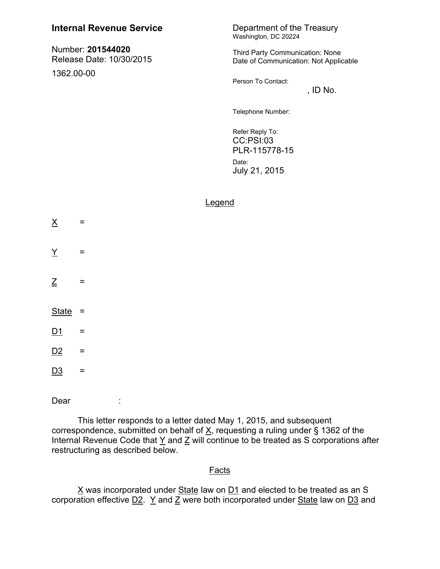# **Internal Revenue Service** Department of the Treasury

Number: **201544020** Release Date: 10/30/2015 1362.00-00

Washington, DC 20224

Third Party Communication: None Date of Communication: Not Applicable

Person To Contact:

 $,$  ID No.

Telephone Number:

Refer Reply To: CC:PSI:03 PLR-115778-15 Date: July 21, 2015

## Legend

 $\times$  =  $\frac{y}{x}$  =  $Z =$  $State =$  $D1 =$  $D2 =$  $D3 =$ 

Dear :

This letter responds to a letter dated May 1, 2015, and subsequent correspondence, submitted on behalf of X, requesting a ruling under § 1362 of the Internal Revenue Code that  $Y$  and  $Z$  will continue to be treated as S corporations after restructuring as described below.

### **Facts**

 $X$  was incorporated under State law on  $D1$  and elected to be treated as an S corporation effective  $\underline{D2}$ . Y and  $\underline{Z}$  were both incorporated under State law on  $\underline{D3}$  and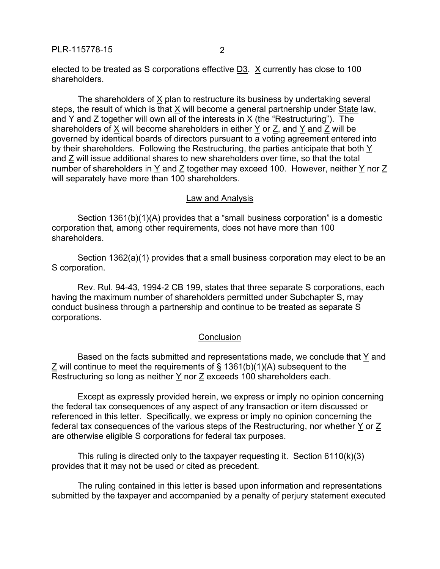elected to be treated as S corporations effective  $D3$ . X currently has close to 100 shareholders.

The shareholders of X plan to restructure its business by undertaking several steps, the result of which is that X will become a general partnership under State law, and Y and Z together will own all of the interests in X (the "Restructuring"). The shareholders of  $\underline{X}$  will become shareholders in either  $\underline{Y}$  or  $\underline{Z}$ , and  $\underline{Y}$  and  $\underline{Z}$  will be governed by identical boards of directors pursuant to a voting agreement entered into by their shareholders. Following the Restructuring, the parties anticipate that both Y and Z will issue additional shares to new shareholders over time, so that the total number of shareholders in  $Y$  and  $Z$  together may exceed 100. However, neither  $Y$  nor  $Z$ will separately have more than 100 shareholders.

### Law and Analysis

Section 1361(b)(1)(A) provides that a "small business corporation" is a domestic corporation that, among other requirements, does not have more than 100 shareholders.

Section 1362(a)(1) provides that a small business corporation may elect to be an S corporation.

Rev. Rul. 94-43, 1994-2 CB 199, states that three separate S corporations, each having the maximum number of shareholders permitted under Subchapter S, may conduct business through a partnership and continue to be treated as separate S corporations.

### **Conclusion**

Based on the facts submitted and representations made, we conclude that Y and Z will continue to meet the requirements of § 1361(b)(1)(A) subsequent to the Restructuring so long as neither Y nor Z exceeds 100 shareholders each.

Except as expressly provided herein, we express or imply no opinion concerning the federal tax consequences of any aspect of any transaction or item discussed or referenced in this letter. Specifically, we express or imply no opinion concerning the federal tax consequences of the various steps of the Restructuring, nor whether Y or Z are otherwise eligible S corporations for federal tax purposes.

This ruling is directed only to the taxpayer requesting it. Section 6110(k)(3) provides that it may not be used or cited as precedent.

The ruling contained in this letter is based upon information and representations submitted by the taxpayer and accompanied by a penalty of perjury statement executed